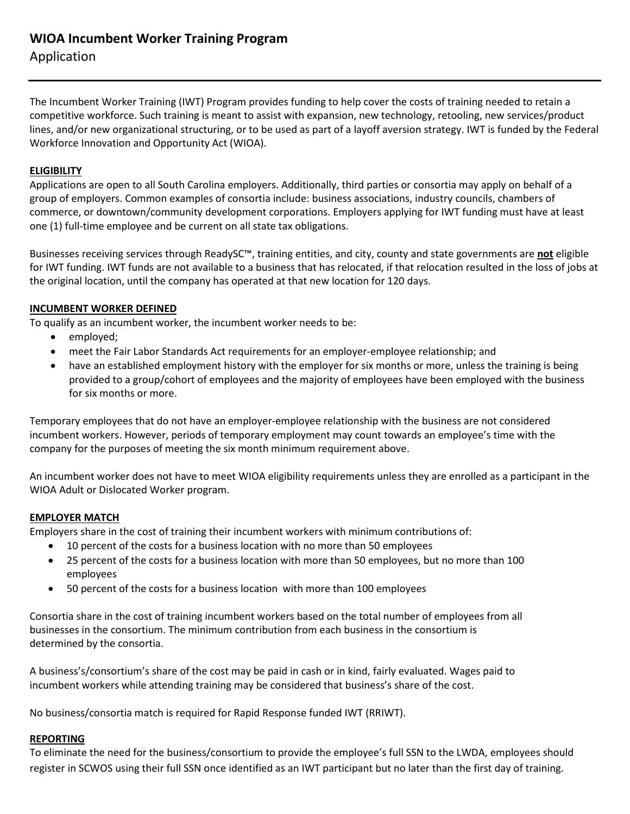# **WIOA Incumbent Worker Training Program** Application

The Incumbent Worker Training (IWT) Program provides funding to help cover the costs of training needed to retain a competitive workforce. Such training is meant to assist with expansion, new technology, retooling, new services/product lines, and/or new organizational structuring, or to be used as part of a layoff aversion strategy. IWT is funded by the Federal Workforce Innovation and Opportunity Act (WIOA).

### **ELIGIBILITY**

Applications are open to all South Carolina employers. Additionally, third parties or consortia may apply on behalf of a group of employers. Common examples of consortia include: business associations, industry councils, chambers of commerce, or downtown/community development corporations. Employers applying for IWT funding must have at least one (1) full-time employee and be current on all state tax obligations.

Businesses receiving services through ReadySC™, training entities, and city, county and state governments are **not** eligible for IWT funding. IWT funds are not available to a business that has relocated, if that relocation resulted in the loss of jobs at the original location, until the company has operated at that new location for 120 days.

#### **INCUMBENT WORKER DEFINED**

To qualify as an incumbent worker, the incumbent worker needs to be:

- employed;
- meet the Fair Labor Standards Act requirements for an employer-employee relationship; and
- have an established employment history with the employer for six months or more, unless the training is being provided to a group/cohort of employees and the majority of employees have been employed with the business for six months or more.

Temporary employees that do not have an employer-employee relationship with the business are not considered incumbent workers. However, periods of temporary employment may count towards an employee's time with the company for the purposes of meeting the six month minimum requirement above.

An incumbent worker does not have to meet WIOA eligibility requirements unless they are enrolled as a participant in the WIOA Adult or Dislocated Worker program.

#### **EMPLOYER MATCH**

Employers share in the cost of training their incumbent workers with minimum contributions of:

- 10 percent of the costs for a business location with no more than 50 employees
- 25 percent of the costs for a business location with more than 50 employees, but no more than 100 employees
- 50 percent of the costs for a business location with more than 100 employees

Consortia share in the cost of training incumbent workers based on the total number of employees from all businesses in the consortium. The minimum contribution from each business in the consortium is determined by the consortia.

A business's/consortium's share of the cost may be paid in cash or in kind, fairly evaluated. Wages paid to incumbent workers while attending training may be considered that business's share of the cost.

No business/consortia match is required for Rapid Response funded IWT (RRIWT).

#### **REPORTING**

To eliminate the need for the business/consortium to provide the employee's full SSN to the LWDA, employees should register in SCWOS using their full SSN once identified as an IWT participant but no later than the first day of training.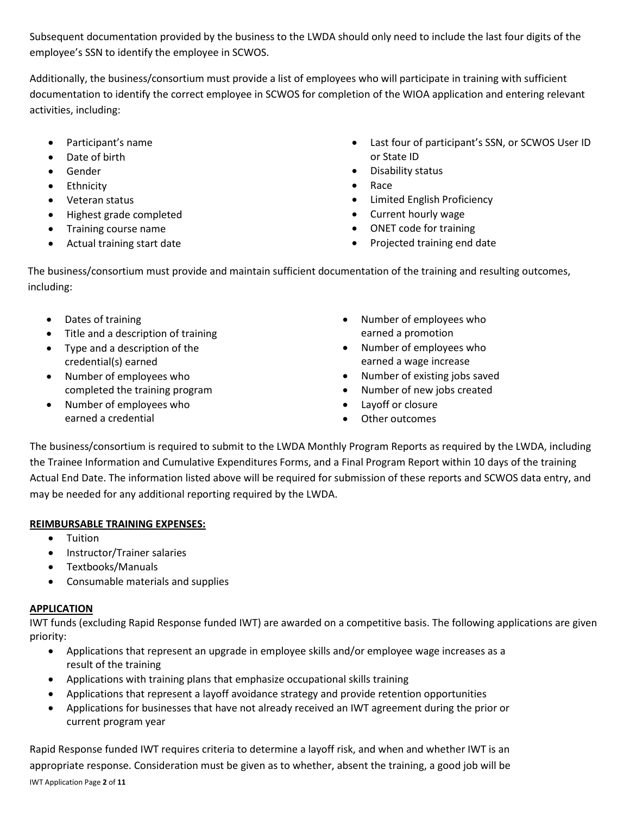Subsequent documentation provided by the business to the LWDA should only need to include the last four digits of the employee's SSN to identify the employee in SCWOS.

Additionally, the business/consortium must provide a list of employees who will participate in training with sufficient documentation to identify the correct employee in SCWOS for completion of the WIOA application and entering relevant activities, including:

- Participant's name
- Date of birth
- Gender
- Ethnicity
- Veteran status
- Highest grade completed
- Training course name
- Actual training start date
- Last four of participant's SSN, or SCWOS User ID or State ID
- Disability status
- Race
- Limited English Proficiency
- Current hourly wage
- ONET code for training
- Projected training end date

The business/consortium must provide and maintain sufficient documentation of the training and resulting outcomes, including:

- Dates of training
- Title and a description of training
- Type and a description of the credential(s) earned
- Number of employees who completed the training program
- Number of employees who earned a credential
- Number of employees who earned a promotion
- Number of employees who earned a wage increase
- Number of existing jobs saved
- Number of new jobs created
- Layoff or closure
- Other outcomes

The business/consortium is required to submit to the LWDA Monthly Program Reports as required by the LWDA, including the Trainee Information and Cumulative Expenditures Forms, and a Final Program Report within 10 days of the training Actual End Date. The information listed above will be required for submission of these reports and SCWOS data entry, and may be needed for any additional reporting required by the LWDA.

## **REIMBURSABLE TRAINING EXPENSES:**

- Tuition
- Instructor/Trainer salaries
- Textbooks/Manuals
- Consumable materials and supplies

## **APPLICATION**

IWT funds (excluding Rapid Response funded IWT) are awarded on a competitive basis. The following applications are given priority:

- Applications that represent an upgrade in employee skills and/or employee wage increases as a result of the training
- Applications with training plans that emphasize occupational skills training
- Applications that represent a layoff avoidance strategy and provide retention opportunities
- Applications for businesses that have not already received an IWT agreement during the prior or current program year

IWT Application Page **2** of **11**  Rapid Response funded IWT requires criteria to determine a layoff risk, and when and whether IWT is an appropriate response. Consideration must be given as to whether, absent the training, a good job will be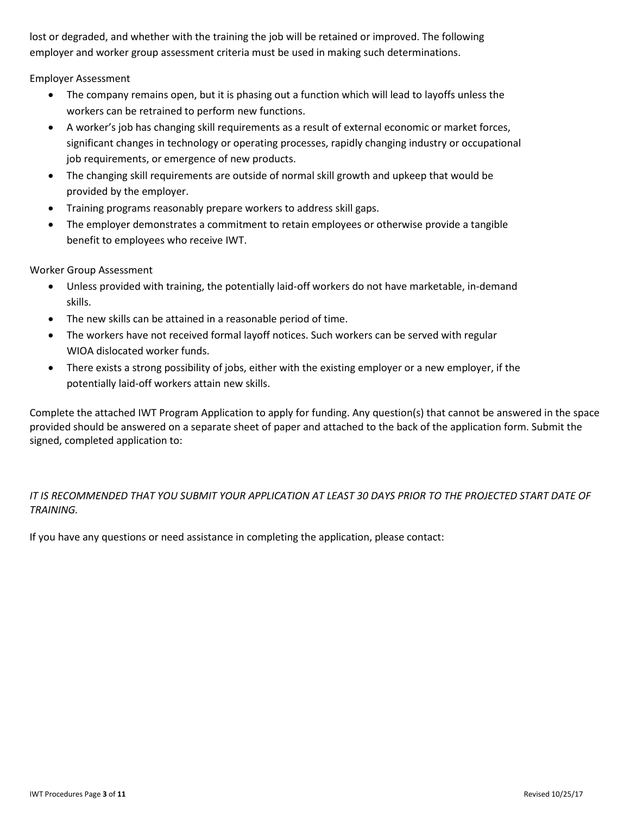lost or degraded, and whether with the training the job will be retained or improved. The following employer and worker group assessment criteria must be used in making such determinations.

Employer Assessment

- The company remains open, but it is phasing out a function which will lead to layoffs unless the workers can be retrained to perform new functions.
- A worker's job has changing skill requirements as a result of external economic or market forces, significant changes in technology or operating processes, rapidly changing industry or occupational job requirements, or emergence of new products.
- The changing skill requirements are outside of normal skill growth and upkeep that would be provided by the employer.
- Training programs reasonably prepare workers to address skill gaps.
- The employer demonstrates a commitment to retain employees or otherwise provide a tangible benefit to employees who receive IWT.

Worker Group Assessment

- Unless provided with training, the potentially laid-off workers do not have marketable, in-demand skills.
- The new skills can be attained in a reasonable period of time.
- The workers have not received formal layoff notices. Such workers can be served with regular WIOA dislocated worker funds.
- There exists a strong possibility of jobs, either with the existing employer or a new employer, if the potentially laid-off workers attain new skills.

Complete the attached IWT Program Application to apply for funding. Any question(s) that cannot be answered in the space provided should be answered on a separate sheet of paper and attached to the back of the application form. Submit the signed, completed application to:

## *IT IS RECOMMENDED THAT YOU SUBMIT YOUR APPLICATION AT LEAST 30 DAYS PRIOR TO THE PROJECTED START DATE OF TRAINING.*

If you have any questions or need assistance in completing the application, please contact: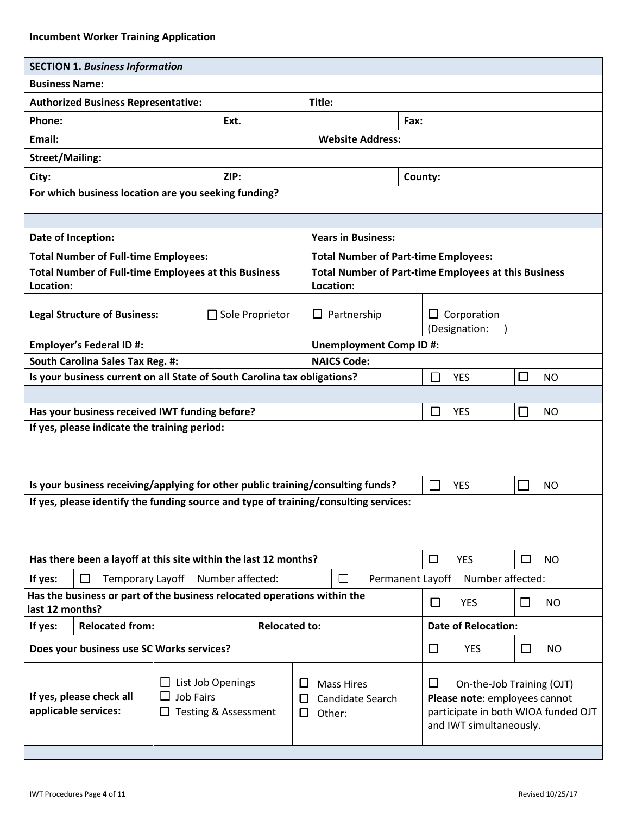|                                                                                                                                                                                                                 | <b>SECTION 1. Business Information</b>                                                                                                |  |                                                                                 |         |                                                                                                            |        |                                     |            |                             |           |
|-----------------------------------------------------------------------------------------------------------------------------------------------------------------------------------------------------------------|---------------------------------------------------------------------------------------------------------------------------------------|--|---------------------------------------------------------------------------------|---------|------------------------------------------------------------------------------------------------------------|--------|-------------------------------------|------------|-----------------------------|-----------|
|                                                                                                                                                                                                                 | <b>Business Name:</b>                                                                                                                 |  |                                                                                 |         |                                                                                                            |        |                                     |            |                             |           |
| <b>Authorized Business Representative:</b>                                                                                                                                                                      |                                                                                                                                       |  |                                                                                 | Title:  |                                                                                                            |        |                                     |            |                             |           |
| Phone:                                                                                                                                                                                                          |                                                                                                                                       |  | Ext.                                                                            |         |                                                                                                            | Fax:   |                                     |            |                             |           |
| Email:                                                                                                                                                                                                          |                                                                                                                                       |  |                                                                                 |         | <b>Website Address:</b>                                                                                    |        |                                     |            |                             |           |
| <b>Street/Mailing:</b>                                                                                                                                                                                          |                                                                                                                                       |  |                                                                                 |         |                                                                                                            |        |                                     |            |                             |           |
| ZIP:<br>City:                                                                                                                                                                                                   |                                                                                                                                       |  |                                                                                 | County: |                                                                                                            |        |                                     |            |                             |           |
|                                                                                                                                                                                                                 |                                                                                                                                       |  | For which business location are you seeking funding?                            |         |                                                                                                            |        |                                     |            |                             |           |
|                                                                                                                                                                                                                 | Date of Inception:<br><b>Years in Business:</b>                                                                                       |  |                                                                                 |         |                                                                                                            |        |                                     |            |                             |           |
|                                                                                                                                                                                                                 |                                                                                                                                       |  |                                                                                 |         |                                                                                                            |        |                                     |            |                             |           |
|                                                                                                                                                                                                                 | <b>Total Number of Full-time Employees:</b>                                                                                           |  | <b>Total Number of Full-time Employees at this Business</b>                     |         | <b>Total Number of Part-time Employees:</b><br><b>Total Number of Part-time Employees at this Business</b> |        |                                     |            |                             |           |
| Location:                                                                                                                                                                                                       |                                                                                                                                       |  |                                                                                 |         | Location:                                                                                                  |        |                                     |            |                             |           |
|                                                                                                                                                                                                                 | <b>Legal Structure of Business:</b>                                                                                                   |  | $\Box$ Sole Proprietor<br>$\Box$ Partnership                                    |         |                                                                                                            | $\Box$ | Corporation<br>(Designation:        |            |                             |           |
| <b>Unemployment Comp ID#:</b><br><b>Employer's Federal ID#:</b>                                                                                                                                                 |                                                                                                                                       |  |                                                                                 |         |                                                                                                            |        |                                     |            |                             |           |
| South Carolina Sales Tax Reg. #:<br><b>NAICS Code:</b>                                                                                                                                                          |                                                                                                                                       |  |                                                                                 |         |                                                                                                            |        |                                     |            |                             |           |
| Is your business current on all State of South Carolina tax obligations?                                                                                                                                        |                                                                                                                                       |  |                                                                                 | П       | <b>YES</b>                                                                                                 | $\Box$ | <b>NO</b>                           |            |                             |           |
|                                                                                                                                                                                                                 |                                                                                                                                       |  |                                                                                 |         |                                                                                                            |        |                                     |            |                             |           |
| $\Box$<br>Has your business received IWT funding before?<br>$\Box$<br><b>YES</b><br><b>NO</b>                                                                                                                   |                                                                                                                                       |  |                                                                                 |         |                                                                                                            |        |                                     |            |                             |           |
| If yes, please indicate the training period:                                                                                                                                                                    |                                                                                                                                       |  |                                                                                 |         |                                                                                                            |        |                                     |            |                             |           |
|                                                                                                                                                                                                                 |                                                                                                                                       |  | Is your business receiving/applying for other public training/consulting funds? |         |                                                                                                            |        |                                     | <b>YES</b> | $\mathcal{L}_{\mathcal{A}}$ | <b>NO</b> |
| If yes, please identify the funding source and type of training/consulting services:                                                                                                                            |                                                                                                                                       |  |                                                                                 |         |                                                                                                            |        |                                     |            |                             |           |
|                                                                                                                                                                                                                 |                                                                                                                                       |  | Has there been a layoff at this site within the last 12 months?                 |         |                                                                                                            |        | $\Box$                              | <b>YES</b> | $\Box$                      | <b>NO</b> |
| If yes:                                                                                                                                                                                                         | Permanent Layoff<br>Number affected:<br>Temporary Layoff<br>Number affected:<br>□<br>$\Box$                                           |  |                                                                                 |         |                                                                                                            |        |                                     |            |                             |           |
|                                                                                                                                                                                                                 | Has the business or part of the business relocated operations within the<br>П<br><b>YES</b><br>$\Box$<br><b>NO</b><br>last 12 months? |  |                                                                                 |         |                                                                                                            |        |                                     |            |                             |           |
| <b>Relocated from:</b><br><b>Relocated to:</b><br><b>Date of Relocation:</b><br>If yes:                                                                                                                         |                                                                                                                                       |  |                                                                                 |         |                                                                                                            |        |                                     |            |                             |           |
| Does your business use SC Works services?                                                                                                                                                                       |                                                                                                                                       |  |                                                                                 | $\Box$  | <b>YES</b>                                                                                                 | $\Box$ | <b>NO</b>                           |            |                             |           |
| $\Box$ List Job Openings<br><b>Mass Hires</b><br>ΙI<br><b>Job Fairs</b><br>If yes, please check all<br>$\Box$<br>Candidate Search<br>H<br>applicable services:<br>Testing & Assessment<br>$\Box$<br>Other:<br>П |                                                                                                                                       |  |                                                                                 | $\Box$  | On-the-Job Training (OJT)<br>Please note: employees cannot<br>and IWT simultaneously.                      |        | participate in both WIOA funded OJT |            |                             |           |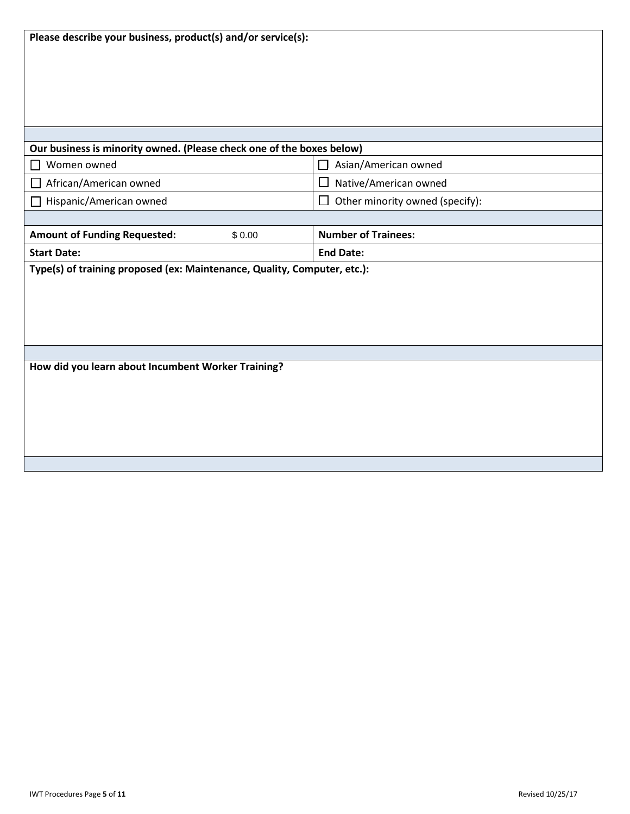| Our business is minority owned. (Please check one of the boxes below)    |         |                                 |  |  |  |
|--------------------------------------------------------------------------|---------|---------------------------------|--|--|--|
| Women owned                                                              |         | Asian/American owned            |  |  |  |
| African/American owned                                                   |         | Native/American owned           |  |  |  |
| Hispanic/American owned                                                  |         | Other minority owned (specify): |  |  |  |
|                                                                          |         |                                 |  |  |  |
| <b>Amount of Funding Requested:</b>                                      | \$ 0.00 | <b>Number of Trainees:</b>      |  |  |  |
| <b>Start Date:</b>                                                       |         | <b>End Date:</b>                |  |  |  |
| Type(s) of training proposed (ex: Maintenance, Quality, Computer, etc.): |         |                                 |  |  |  |
|                                                                          |         |                                 |  |  |  |

**How did you learn about Incumbent Worker Training?**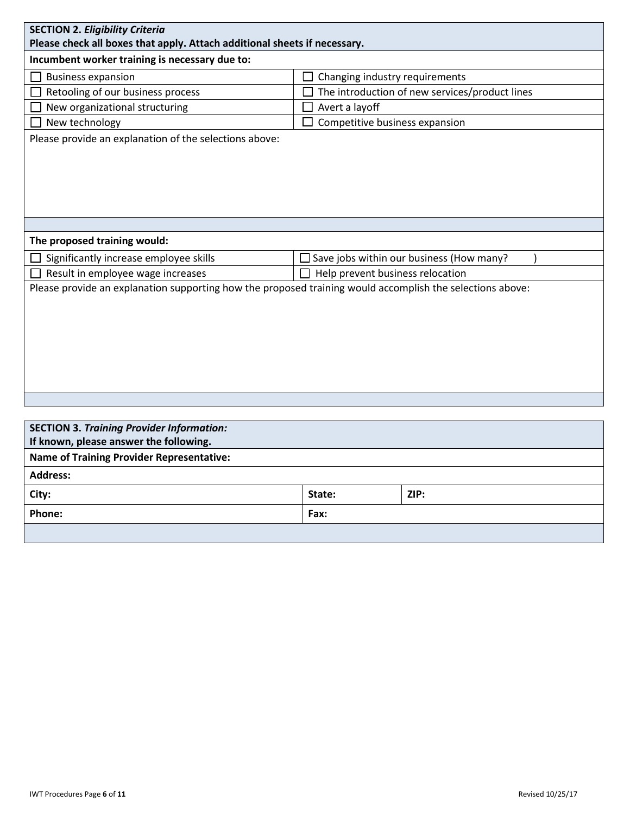| <b>SECTION 2. Eligibility Criteria</b><br>Please check all boxes that apply. Attach additional sheets if necessary. |                                                |                                                    |  |  |  |  |  |
|---------------------------------------------------------------------------------------------------------------------|------------------------------------------------|----------------------------------------------------|--|--|--|--|--|
| Incumbent worker training is necessary due to:                                                                      |                                                |                                                    |  |  |  |  |  |
| <b>Business expansion</b>                                                                                           | Changing industry requirements                 |                                                    |  |  |  |  |  |
| Retooling of our business process                                                                                   | The introduction of new services/product lines |                                                    |  |  |  |  |  |
| New organizational structuring                                                                                      | Avert a layoff                                 |                                                    |  |  |  |  |  |
| New technology                                                                                                      | Competitive business expansion                 |                                                    |  |  |  |  |  |
| Please provide an explanation of the selections above:                                                              |                                                |                                                    |  |  |  |  |  |
|                                                                                                                     |                                                |                                                    |  |  |  |  |  |
|                                                                                                                     |                                                |                                                    |  |  |  |  |  |
|                                                                                                                     |                                                |                                                    |  |  |  |  |  |
| The proposed training would:                                                                                        |                                                |                                                    |  |  |  |  |  |
| Significantly increase employee skills                                                                              |                                                | $\square$ Save jobs within our business (How many? |  |  |  |  |  |
| Result in employee wage increases                                                                                   | $\Box$ Help prevent business relocation        |                                                    |  |  |  |  |  |
| Please provide an explanation supporting how the proposed training would accomplish the selections above:           |                                                |                                                    |  |  |  |  |  |
|                                                                                                                     |                                                |                                                    |  |  |  |  |  |
|                                                                                                                     |                                                |                                                    |  |  |  |  |  |
|                                                                                                                     |                                                |                                                    |  |  |  |  |  |
|                                                                                                                     |                                                |                                                    |  |  |  |  |  |
|                                                                                                                     |                                                |                                                    |  |  |  |  |  |
|                                                                                                                     |                                                |                                                    |  |  |  |  |  |
|                                                                                                                     |                                                |                                                    |  |  |  |  |  |
|                                                                                                                     |                                                |                                                    |  |  |  |  |  |
| <b>SECTION 3. Training Provider Information:</b>                                                                    |                                                |                                                    |  |  |  |  |  |
| If known, please answer the following.                                                                              |                                                |                                                    |  |  |  |  |  |
| <b>Name of Training Provider Representative:</b>                                                                    |                                                |                                                    |  |  |  |  |  |
| <b>Address:</b>                                                                                                     |                                                |                                                    |  |  |  |  |  |
| City:                                                                                                               | State:                                         | ZIP:                                               |  |  |  |  |  |
| Phone:<br>Fax:                                                                                                      |                                                |                                                    |  |  |  |  |  |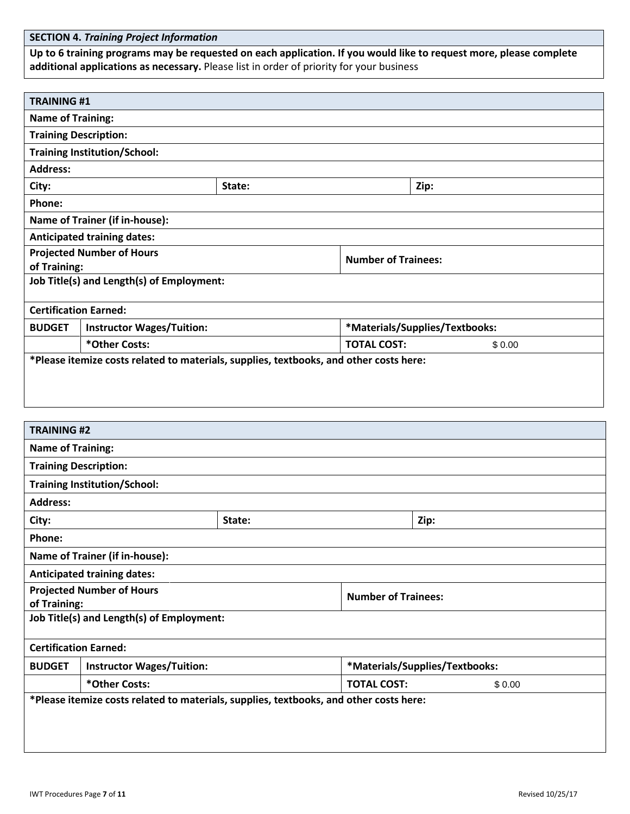**Up to 6 training programs may be requested on each application. If you would like to request more, please complete additional applications as necessary.** Please list in order of priority for your business

| <b>TRAINING #1</b>                                                                     |                                                                                        |        |                              |                                |  |  |  |
|----------------------------------------------------------------------------------------|----------------------------------------------------------------------------------------|--------|------------------------------|--------------------------------|--|--|--|
| <b>Name of Training:</b>                                                               |                                                                                        |        |                              |                                |  |  |  |
| <b>Training Description:</b>                                                           |                                                                                        |        |                              |                                |  |  |  |
|                                                                                        | <b>Training Institution/School:</b>                                                    |        |                              |                                |  |  |  |
| <b>Address:</b>                                                                        |                                                                                        |        |                              |                                |  |  |  |
| City:                                                                                  |                                                                                        | State: |                              | Zip:                           |  |  |  |
| Phone:                                                                                 |                                                                                        |        |                              |                                |  |  |  |
|                                                                                        | <b>Name of Trainer (if in-house):</b>                                                  |        |                              |                                |  |  |  |
|                                                                                        | <b>Anticipated training dates:</b>                                                     |        |                              |                                |  |  |  |
| of Training:                                                                           | <b>Projected Number of Hours</b>                                                       |        | <b>Number of Trainees:</b>   |                                |  |  |  |
|                                                                                        | Job Title(s) and Length(s) of Employment:                                              |        |                              |                                |  |  |  |
| <b>Certification Earned:</b>                                                           |                                                                                        |        |                              |                                |  |  |  |
| <b>BUDGET</b>                                                                          | <b>Instructor Wages/Tuition:</b>                                                       |        |                              | *Materials/Supplies/Textbooks: |  |  |  |
|                                                                                        | *Other Costs:                                                                          |        | <b>TOTAL COST:</b>           | \$0.00                         |  |  |  |
|                                                                                        | *Please itemize costs related to materials, supplies, textbooks, and other costs here: |        |                              |                                |  |  |  |
|                                                                                        |                                                                                        |        |                              |                                |  |  |  |
|                                                                                        |                                                                                        |        |                              |                                |  |  |  |
|                                                                                        |                                                                                        |        |                              |                                |  |  |  |
| <b>TRAINING #2</b>                                                                     |                                                                                        |        |                              |                                |  |  |  |
| <b>Name of Training:</b>                                                               |                                                                                        |        |                              |                                |  |  |  |
| <b>Training Description:</b>                                                           |                                                                                        |        |                              |                                |  |  |  |
|                                                                                        | <b>Training Institution/School:</b>                                                    |        |                              |                                |  |  |  |
| <b>Address:</b>                                                                        |                                                                                        |        |                              |                                |  |  |  |
| City:                                                                                  |                                                                                        | State: | Zip:                         |                                |  |  |  |
| Phone:                                                                                 |                                                                                        |        |                              |                                |  |  |  |
|                                                                                        | <b>Name of Trainer (if in-house):</b>                                                  |        |                              |                                |  |  |  |
|                                                                                        | <b>Anticipated training dates:</b>                                                     |        |                              |                                |  |  |  |
|                                                                                        | <b>Projected Number of Hours</b><br><b>Number of Trainees:</b>                         |        |                              |                                |  |  |  |
| of Training:                                                                           |                                                                                        |        |                              |                                |  |  |  |
| Job Title(s) and Length(s) of Employment:                                              |                                                                                        |        |                              |                                |  |  |  |
| <b>Certification Earned:</b>                                                           |                                                                                        |        |                              |                                |  |  |  |
| *Materials/Supplies/Textbooks:<br><b>BUDGET</b><br><b>Instructor Wages/Tuition:</b>    |                                                                                        |        |                              |                                |  |  |  |
| *Other Costs:                                                                          |                                                                                        |        | <b>TOTAL COST:</b><br>\$0.00 |                                |  |  |  |
| *Please itemize costs related to materials, supplies, textbooks, and other costs here: |                                                                                        |        |                              |                                |  |  |  |
|                                                                                        |                                                                                        |        |                              |                                |  |  |  |
|                                                                                        |                                                                                        |        |                              |                                |  |  |  |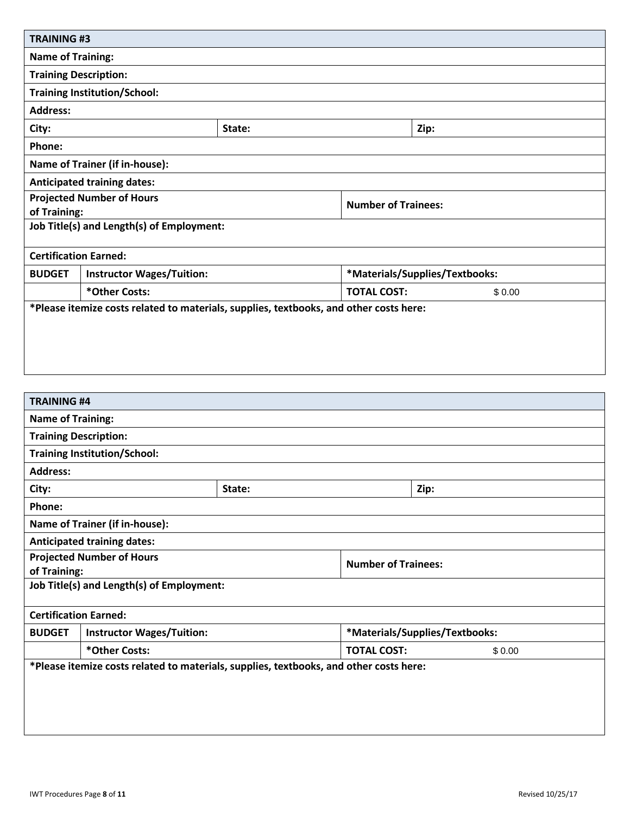| <b>TRAINING#3</b>                                                                      |                                           |        |                            |                                |        |
|----------------------------------------------------------------------------------------|-------------------------------------------|--------|----------------------------|--------------------------------|--------|
| <b>Name of Training:</b>                                                               |                                           |        |                            |                                |        |
|                                                                                        | <b>Training Description:</b>              |        |                            |                                |        |
|                                                                                        | <b>Training Institution/School:</b>       |        |                            |                                |        |
| <b>Address:</b>                                                                        |                                           |        |                            |                                |        |
| City:                                                                                  |                                           | State: |                            | Zip:                           |        |
| Phone:                                                                                 |                                           |        |                            |                                |        |
|                                                                                        | <b>Name of Trainer (if in-house):</b>     |        |                            |                                |        |
|                                                                                        | <b>Anticipated training dates:</b>        |        |                            |                                |        |
| <b>Projected Number of Hours</b>                                                       |                                           |        | <b>Number of Trainees:</b> |                                |        |
| of Training:                                                                           |                                           |        |                            |                                |        |
|                                                                                        | Job Title(s) and Length(s) of Employment: |        |                            |                                |        |
| <b>Certification Earned:</b>                                                           |                                           |        |                            |                                |        |
| <b>BUDGET</b>                                                                          | <b>Instructor Wages/Tuition:</b>          |        |                            | *Materials/Supplies/Textbooks: |        |
| *Other Costs:                                                                          |                                           |        | <b>TOTAL COST:</b>         |                                | \$0.00 |
| *Please itemize costs related to materials, supplies, textbooks, and other costs here: |                                           |        |                            |                                |        |
|                                                                                        |                                           |        |                            |                                |        |
|                                                                                        |                                           |        |                            |                                |        |
|                                                                                        |                                           |        |                            |                                |        |
|                                                                                        |                                           |        |                            |                                |        |

| <b>TRAINING #4</b>                                                                     |                                           |        |  |                                |  |  |
|----------------------------------------------------------------------------------------|-------------------------------------------|--------|--|--------------------------------|--|--|
|                                                                                        | <b>Name of Training:</b>                  |        |  |                                |  |  |
| <b>Training Description:</b>                                                           |                                           |        |  |                                |  |  |
|                                                                                        | <b>Training Institution/School:</b>       |        |  |                                |  |  |
| <b>Address:</b>                                                                        |                                           |        |  |                                |  |  |
| City:                                                                                  |                                           | State: |  | Zip:                           |  |  |
| Phone:                                                                                 |                                           |        |  |                                |  |  |
|                                                                                        | <b>Name of Trainer (if in-house):</b>     |        |  |                                |  |  |
|                                                                                        | <b>Anticipated training dates:</b>        |        |  |                                |  |  |
| <b>Projected Number of Hours</b><br><b>Number of Trainees:</b>                         |                                           |        |  |                                |  |  |
| of Training:                                                                           |                                           |        |  |                                |  |  |
|                                                                                        | Job Title(s) and Length(s) of Employment: |        |  |                                |  |  |
| <b>Certification Earned:</b>                                                           |                                           |        |  |                                |  |  |
| <b>BUDGET</b>                                                                          | <b>Instructor Wages/Tuition:</b>          |        |  | *Materials/Supplies/Textbooks: |  |  |
| *Other Costs:<br><b>TOTAL COST:</b><br>\$0.00                                          |                                           |        |  |                                |  |  |
| *Please itemize costs related to materials, supplies, textbooks, and other costs here: |                                           |        |  |                                |  |  |
|                                                                                        |                                           |        |  |                                |  |  |
|                                                                                        |                                           |        |  |                                |  |  |
|                                                                                        |                                           |        |  |                                |  |  |
|                                                                                        |                                           |        |  |                                |  |  |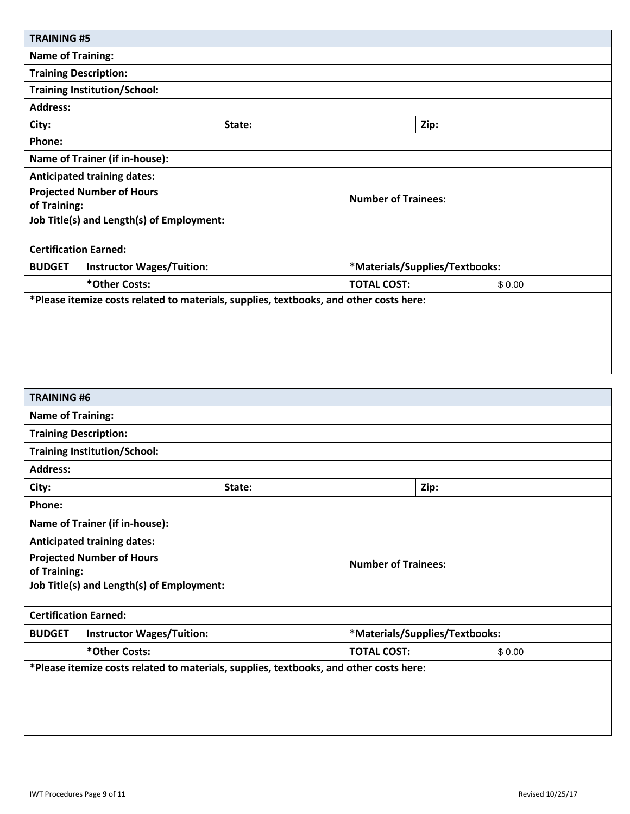| <b>TRAINING #5</b>                                                                     |                                           |        |                            |                                |        |
|----------------------------------------------------------------------------------------|-------------------------------------------|--------|----------------------------|--------------------------------|--------|
| <b>Name of Training:</b>                                                               |                                           |        |                            |                                |        |
|                                                                                        | <b>Training Description:</b>              |        |                            |                                |        |
|                                                                                        | <b>Training Institution/School:</b>       |        |                            |                                |        |
| <b>Address:</b>                                                                        |                                           |        |                            |                                |        |
| City:                                                                                  |                                           | State: |                            | Zip:                           |        |
| Phone:                                                                                 |                                           |        |                            |                                |        |
|                                                                                        | <b>Name of Trainer (if in-house):</b>     |        |                            |                                |        |
|                                                                                        | <b>Anticipated training dates:</b>        |        |                            |                                |        |
|                                                                                        | <b>Projected Number of Hours</b>          |        | <b>Number of Trainees:</b> |                                |        |
| of Training:                                                                           |                                           |        |                            |                                |        |
|                                                                                        | Job Title(s) and Length(s) of Employment: |        |                            |                                |        |
|                                                                                        | <b>Certification Earned:</b>              |        |                            |                                |        |
| <b>BUDGET</b>                                                                          | <b>Instructor Wages/Tuition:</b>          |        |                            | *Materials/Supplies/Textbooks: |        |
| *Other Costs:                                                                          |                                           |        | <b>TOTAL COST:</b>         |                                | \$0.00 |
| *Please itemize costs related to materials, supplies, textbooks, and other costs here: |                                           |        |                            |                                |        |
|                                                                                        |                                           |        |                            |                                |        |
|                                                                                        |                                           |        |                            |                                |        |
|                                                                                        |                                           |        |                            |                                |        |
|                                                                                        |                                           |        |                            |                                |        |
|                                                                                        |                                           |        |                            |                                |        |

| <b>TRAINING#6</b>                                                                      |                                           |        |                            |                                |  |  |  |
|----------------------------------------------------------------------------------------|-------------------------------------------|--------|----------------------------|--------------------------------|--|--|--|
|                                                                                        | <b>Name of Training:</b>                  |        |                            |                                |  |  |  |
| <b>Training Description:</b>                                                           |                                           |        |                            |                                |  |  |  |
|                                                                                        | <b>Training Institution/School:</b>       |        |                            |                                |  |  |  |
| <b>Address:</b>                                                                        |                                           |        |                            |                                |  |  |  |
| City:                                                                                  |                                           | State: |                            | Zip:                           |  |  |  |
| Phone:                                                                                 |                                           |        |                            |                                |  |  |  |
|                                                                                        | <b>Name of Trainer (if in-house):</b>     |        |                            |                                |  |  |  |
|                                                                                        | <b>Anticipated training dates:</b>        |        |                            |                                |  |  |  |
| <b>Projected Number of Hours</b>                                                       |                                           |        | <b>Number of Trainees:</b> |                                |  |  |  |
| of Training:                                                                           |                                           |        |                            |                                |  |  |  |
|                                                                                        | Job Title(s) and Length(s) of Employment: |        |                            |                                |  |  |  |
| <b>Certification Earned:</b>                                                           |                                           |        |                            |                                |  |  |  |
| <b>BUDGET</b>                                                                          | <b>Instructor Wages/Tuition:</b>          |        |                            | *Materials/Supplies/Textbooks: |  |  |  |
| *Other Costs:<br><b>TOTAL COST:</b><br>\$0.00                                          |                                           |        |                            |                                |  |  |  |
| *Please itemize costs related to materials, supplies, textbooks, and other costs here: |                                           |        |                            |                                |  |  |  |
|                                                                                        |                                           |        |                            |                                |  |  |  |
|                                                                                        |                                           |        |                            |                                |  |  |  |
|                                                                                        |                                           |        |                            |                                |  |  |  |
|                                                                                        |                                           |        |                            |                                |  |  |  |
|                                                                                        |                                           |        |                            |                                |  |  |  |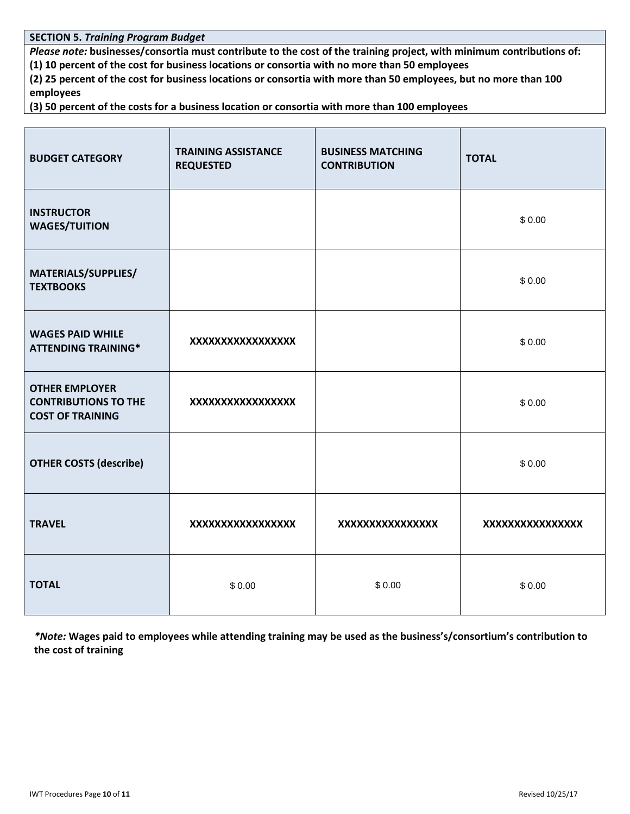**SECTION 5.** *Training Program Budget* 

*Please note:* **businesses/consortia must contribute to the cost of the training project, with minimum contributions of: (1) 10 percent of the cost for business locations or consortia with no more than 50 employees**

**(2) 25 percent of the cost for business locations or consortia with more than 50 employees, but no more than 100 employees**

**(3) 50 percent of the costs for a business location or consortia with more than 100 employees**

| <b>BUDGET CATEGORY</b>                                                          | <b>TRAINING ASSISTANCE</b><br><b>REQUESTED</b> | <b>BUSINESS MATCHING</b><br><b>CONTRIBUTION</b> | <b>TOTAL</b>     |
|---------------------------------------------------------------------------------|------------------------------------------------|-------------------------------------------------|------------------|
| <b>INSTRUCTOR</b><br><b>WAGES/TUITION</b>                                       |                                                |                                                 | \$0.00           |
| MATERIALS/SUPPLIES/<br><b>TEXTBOOKS</b>                                         |                                                |                                                 | \$0.00           |
| <b>WAGES PAID WHILE</b><br><b>ATTENDING TRAINING*</b>                           | XXXXXXXXXXXXXXXXX                              |                                                 | \$0.00           |
| <b>OTHER EMPLOYER</b><br><b>CONTRIBUTIONS TO THE</b><br><b>COST OF TRAINING</b> | XXXXXXXXXXXXXXXXX                              |                                                 | \$0.00           |
| <b>OTHER COSTS (describe)</b>                                                   |                                                |                                                 | \$0.00           |
| <b>TRAVEL</b>                                                                   | XXXXXXXXXXXXXXXXX                              | XXXXXXXXXXXXXXXX                                | XXXXXXXXXXXXXXXX |
| <b>TOTAL</b>                                                                    | \$0.00                                         | \$0.00                                          | \$0.00           |

*\*Note:* **Wages paid to employees while attending training may be used as the business's/consortium's contribution to the cost of training**